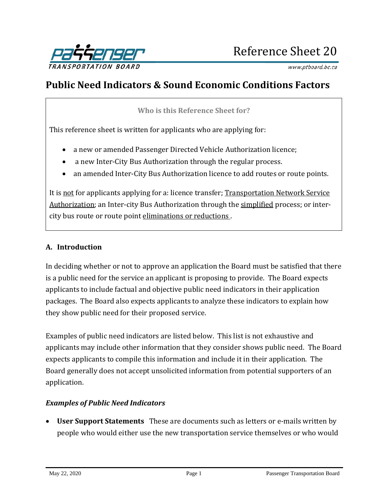

www.ptboard.bc.ca

# **Public Need Indicators & Sound Economic Conditions Factors**

**Who is this Reference Sheet for?**

This reference sheet is written for applicants who are applying for:

- a new or amended Passenger Directed Vehicle Authorization licence;
- a new Inter-City Bus Authorization through the regular process.
- an amended Inter-City Bus Authorization licence to add routes or route points.

It is not for applicants applying for a: licence transfer; [Transportation Network Service](https://www.ptboard.bc.ca/documents/PTBoard_9005%20Application%20Pkg.pdf)  [Authorization;](https://www.ptboard.bc.ca/documents/PTBoard_9005%20Application%20Pkg.pdf) an Inter-city Bus Authorization through the [simplified](https://www.ptboard.bc.ca/applications_ICB.htm#tabs-1b) process; or intercity bus route or route point eliminations or reductions.

#### **A. Introduction**

In deciding whether or not to approve an application the Board must be satisfied that there is a public need for the service an applicant is proposing to provide. The Board expects applicants to include factual and objective public need indicators in their application packages. The Board also expects applicants to analyze these indicators to explain how they show public need for their proposed service.

Examples of public need indicators are listed below. This list is not exhaustive and applicants may include other information that they consider shows public need. The Board expects applicants to compile this information and include it in their application. The Board generally does not accept unsolicited information from potential supporters of an application.

#### *Examples of Public Need Indicators*

• **User Support Statements** These are documents such as letters or e-mails written by people who would either use the new transportation service themselves or who would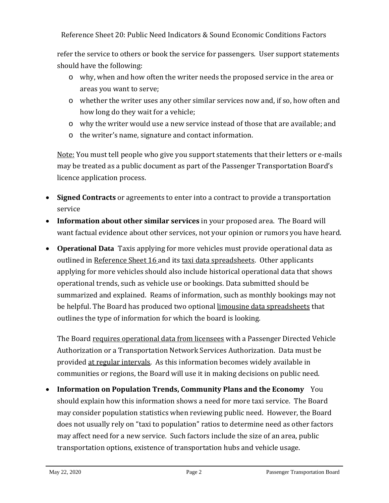Reference Sheet 20: Public Need Indicators & Sound Economic Conditions Factors

refer the service to others or book the service for passengers. User support statements should have the following:

- o why, when and how often the writer needs the proposed service in the area or areas you want to serve;
- o whether the writer uses any other similar services now and, if so, how often and how long do they wait for a vehicle;
- o why the writer would use a new service instead of those that are available; and
- o the writer's name, signature and contact information.

Note: You must tell people who give you support statements that their letters or e-mails may be treated as a public document as part of the Passenger Transportation Board's licence application process.

- **Signed Contracts** or agreements to enter into a contract to provide a transportation service
- **Information about other similar services** in your proposed area. The Board will want factual evidence about other services, not your opinion or rumors you have heard.
- **Operational Data** Taxis applying for more vehicles must provide operational data as outlined in [Reference Sheet 16 a](http://www.th.gov.bc.ca/forms/getForm.aspx?formId=1330)nd its [taxi data spreadsheets.](http://www.th.gov.bc.ca/forms/getForm.aspx?formId=1327) Other applicants applying for more vehicles should also include historical operational data that shows operational trends, such as vehicle use or bookings. Data submitted should be summarized and explained. Reams of information, such as monthly bookings may not be helpful. The Board has produced two optional [limousine data spreadsheets](http://www.th.gov.bc.ca/forms/getForm.aspx?formId=1326) that outlines the type of information for which the board is looking.

The Board [requires operational data from](https://www.ptboard.bc.ca/documents/Data_Requirements.pdf) licensees with a Passenger Directed Vehicle Authorization or a Transportation Network Services Authorization. Data must be provided [at regular intervals.](https://www2.gov.bc.ca/gov/content/transportation/vehicle-safety-enforcement/services/passenger-transportation/guidance-resources/data-requirements) As this information becomes widely available in communities or regions, the Board will use it in making decisions on public need.

• **Information on Population Trends, Community Plans and the Economy** You should explain how this information shows a need for more taxi service. The Board may consider population statistics when reviewing public need. However, the Board does not usually rely on "taxi to population" ratios to determine need as other factors may affect need for a new service. Such factors include the size of an area, public transportation options, existence of transportation hubs and vehicle usage.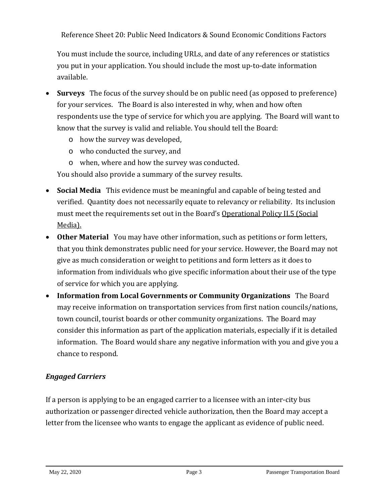Reference Sheet 20: Public Need Indicators & Sound Economic Conditions Factors

You must include the source, including URLs, and date of any references or statistics you put in your application. You should include the most up-to-date information available.

- **Surveys** The focus of the survey should be on public need (as opposed to preference) for your services. The Board is also interested in why, when and how often respondents use the type of service for which you are applying. The Board will want to know that the survey is valid and reliable. You should tell the Board:
	- o how the survey was developed,
	- o who conducted the survey, and
	- o when, where and how the survey was conducted.

You should also provide a summary of the survey results.

- **Social Media** This evidence must be meaningful and capable of being tested and verified. Quantity does not necessarily equate to relevancy or reliability. Its inclusion must meet the requirements set out in the Board's [Operational Policy II.5 \(Social](https://www.ptboard.bc.ca/operational_policies.htm)  [Media\).](https://www.ptboard.bc.ca/operational_policies.htm)
- **Other Material** You may have other information, such as petitions or form letters, that you think demonstrates public need for your service. However, the Board may not give as much consideration or weight to petitions and form letters as it does to information from individuals who give specific information about their use of the type of service for which you are applying.
- **Information from Local Governments or Community Organizations** The Board may receive information on transportation services from first nation councils/nations, town council, tourist boards or other community organizations. The Board may consider this information as part of the application materials, especially if it is detailed information. The Board would share any negative information with you and give you a chance to respond.

## *Engaged Carriers*

If a person is applying to be an engaged carrier to a licensee with an inter-city bus authorization or passenger directed vehicle authorization, then the Board may accept a letter from the licensee who wants to engage the applicant as evidence of public need.